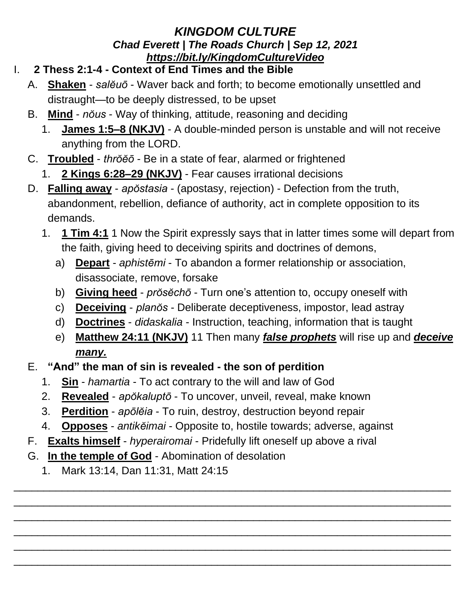## *KINGDOM CULTURE Chad Everett | The Roads Church | Sep 12, 2021 <https://bit.ly/KingdomCultureVideo>*

- I. **2 Thess 2:1-4 - Context of End Times and the Bible**
	- A. **Shaken** *salĕuō* Waver back and forth; to become emotionally unsettled and distraught—to be deeply distressed, to be upset
	- B. **Mind** *nŏus* Way of thinking, attitude, reasoning and deciding
		- 1. **James 1:5–8 (NKJV)** A double-minded person is unstable and will not receive anything from the LORD.
	- C. **Troubled** *thrŏĕō* Be in a state of fear, alarmed or frightened
		- 1. **2 Kings 6:28–29 (NKJV)** Fear causes irrational decisions
	- D. **Falling away** *apŏstasia* (apostasy, rejection) Defection from the truth, abandonment, rebellion, defiance of authority, act in complete opposition to its demands.
		- 1. **1 Tim 4:1** 1 Now the Spirit expressly says that in latter times some will depart from the faith, giving heed to deceiving spirits and doctrines of demons,
			- a) **Depart** *aphistēmi* To abandon a former relationship or association, disassociate, remove, forsake
			- b) **Giving heed** *prŏsĕchō* Turn one's attention to, occupy oneself with
			- c) **Deceiving** *planŏs* Deliberate deceptiveness, impostor, lead astray
			- d) **Doctrines** *didaskalia* Instruction, teaching, information that is taught
			- e) **Matthew 24:11 (NKJV)** 11 Then many *false prophets* will rise up and *deceive many.*
	- E. **"And" the man of sin is revealed - the son of perdition**
		- 1. **Sin** *hamartia* To act contrary to the will and law of God
		- 2. **Revealed** *apŏkaluptō* To uncover, unveil, reveal, make known
		- 3. **Perdition** *apōlĕia* To ruin, destroy, destruction beyond repair
		- 4. **Opposes** *antikĕimai* Opposite to, hostile towards; adverse, against

\_\_\_\_\_\_\_\_\_\_\_\_\_\_\_\_\_\_\_\_\_\_\_\_\_\_\_\_\_\_\_\_\_\_\_\_\_\_\_\_\_\_\_\_\_\_\_\_\_\_\_\_\_\_\_\_\_\_\_\_\_\_\_\_\_\_\_\_\_\_\_\_\_ \_\_\_\_\_\_\_\_\_\_\_\_\_\_\_\_\_\_\_\_\_\_\_\_\_\_\_\_\_\_\_\_\_\_\_\_\_\_\_\_\_\_\_\_\_\_\_\_\_\_\_\_\_\_\_\_\_\_\_\_\_\_\_\_\_\_\_\_\_\_\_\_\_ \_\_\_\_\_\_\_\_\_\_\_\_\_\_\_\_\_\_\_\_\_\_\_\_\_\_\_\_\_\_\_\_\_\_\_\_\_\_\_\_\_\_\_\_\_\_\_\_\_\_\_\_\_\_\_\_\_\_\_\_\_\_\_\_\_\_\_\_\_\_\_\_\_ \_\_\_\_\_\_\_\_\_\_\_\_\_\_\_\_\_\_\_\_\_\_\_\_\_\_\_\_\_\_\_\_\_\_\_\_\_\_\_\_\_\_\_\_\_\_\_\_\_\_\_\_\_\_\_\_\_\_\_\_\_\_\_\_\_\_\_\_\_\_\_\_\_ \_\_\_\_\_\_\_\_\_\_\_\_\_\_\_\_\_\_\_\_\_\_\_\_\_\_\_\_\_\_\_\_\_\_\_\_\_\_\_\_\_\_\_\_\_\_\_\_\_\_\_\_\_\_\_\_\_\_\_\_\_\_\_\_\_\_\_\_\_\_\_\_\_ \_\_\_\_\_\_\_\_\_\_\_\_\_\_\_\_\_\_\_\_\_\_\_\_\_\_\_\_\_\_\_\_\_\_\_\_\_\_\_\_\_\_\_\_\_\_\_\_\_\_\_\_\_\_\_\_\_\_\_\_\_\_\_\_\_\_\_\_\_\_\_\_\_

- F. **Exalts himself** *hyperairomai* Pridefully lift oneself up above a rival
- G. **In the temple of God** Abomination of desolation
	- 1. Mark 13:14, Dan 11:31, Matt 24:15